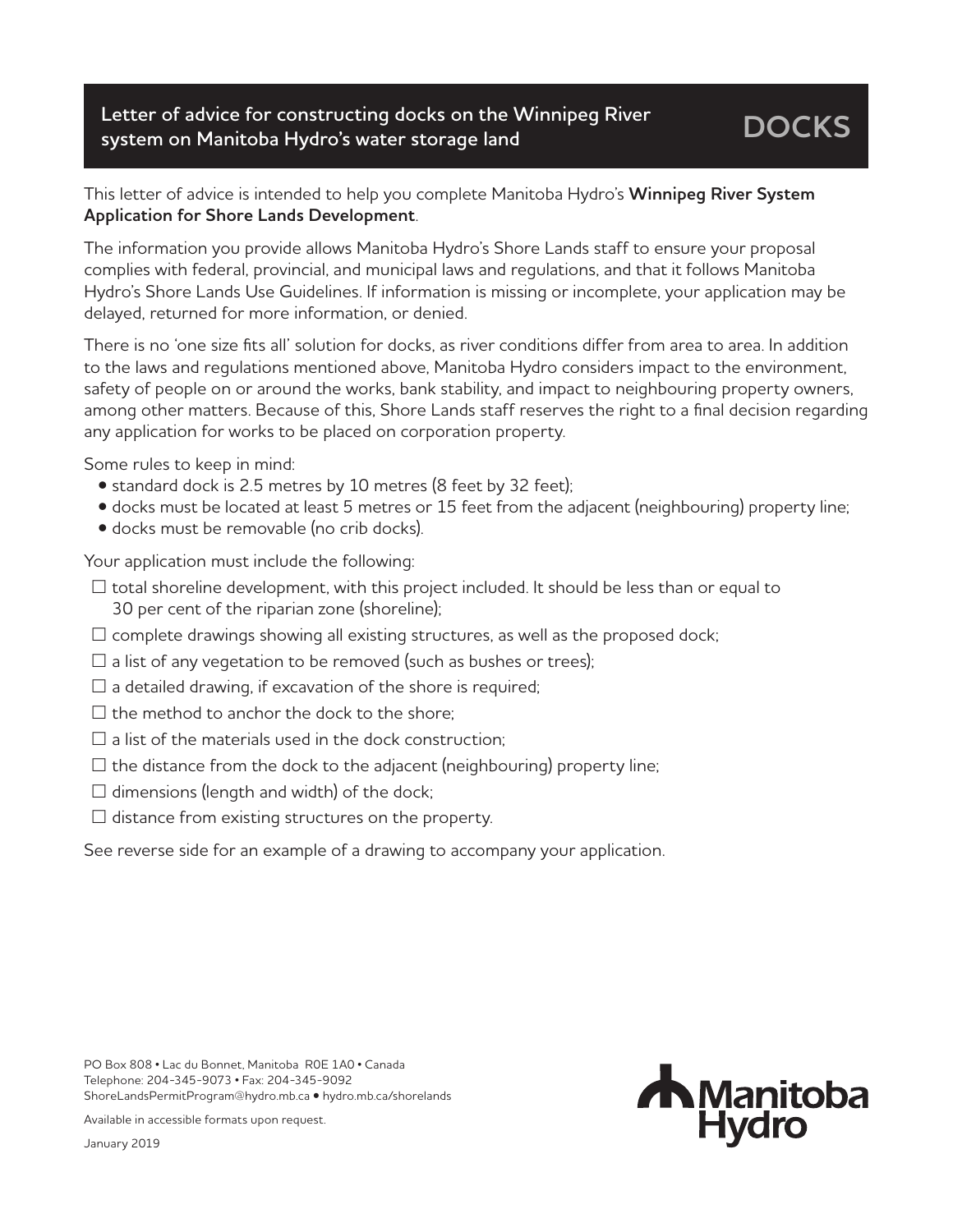## **Letter of advice for constructing docks on the Winnipeg River system on Manitoba Hydro's water storage land**

## This letter of advice is intended to help you complete Manitoba Hydro's **Winnipeg River System Application for Shore Lands Development**.

The information you provide allows Manitoba Hydro's Shore Lands staff to ensure your proposal complies with federal, provincial, and municipal laws and regulations, and that it follows Manitoba Hydro's Shore Lands Use Guidelines. If information is missing or incomplete, your application may be delayed, returned for more information, or denied.

There is no 'one size fits all' solution for docks, as river conditions differ from area to area. In addition to the laws and regulations mentioned above, Manitoba Hydro considers impact to the environment, safety of people on or around the works, bank stability, and impact to neighbouring property owners, among other matters. Because of this, Shore Lands staff reserves the right to a final decision regarding any application for works to be placed on corporation property.

Some rules to keep in mind:

- standard dock is 2.5 metres by 10 metres (8 feet by 32 feet);
- docks must be located at least 5 metres or 15 feet from the adjacent (neighbouring) property line;
- docks must be removable (no crib docks).

Your application must include the following:

- $\square$  total shoreline development, with this project included. It should be less than or equal to 30 per cent of the riparian zone (shoreline);
- $\square$  complete drawings showing all existing structures, as well as the proposed dock;
- $\square$  a list of any vegetation to be removed (such as bushes or trees);
- $\square$  a detailed drawing, if excavation of the shore is required;
- $\square$  the method to anchor the dock to the shore:
- $\square$  a list of the materials used in the dock construction:
- $\square$  the distance from the dock to the adjacent (neighbouring) property line;
- $\square$  dimensions (length and width) of the dock;
- $\square$  distance from existing structures on the property.

See reverse side for an example of a drawing to accompany your application.

Available in accessible formats upon request.



January 2019